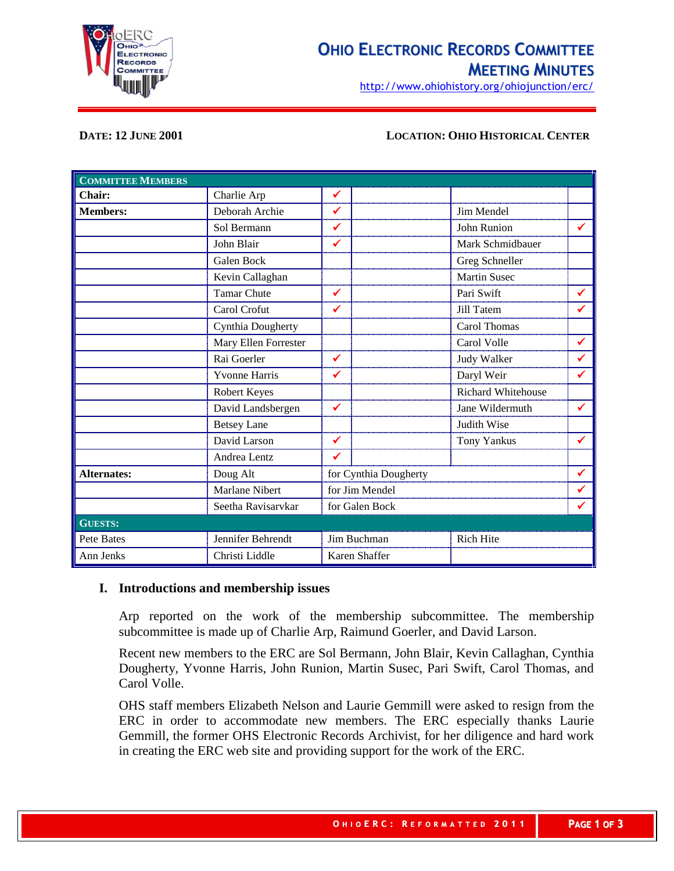

# **OHIO ELECTRONIC RECORDS COMMITTEE MEETING MINUTES**

http://www.ohiohistory.org/ohiojunction/erc/

#### **DATE: 12 JUNE 2001 LOCATION: OHIO HISTORICAL CENTER**

| <b>COMMITTEE MEMBERS</b> |                      |                       |                           |              |
|--------------------------|----------------------|-----------------------|---------------------------|--------------|
| Chair:                   | Charlie Arp          | ✔                     |                           |              |
| <b>Members:</b>          | Deborah Archie       | ✓                     | Jim Mendel                |              |
|                          | Sol Bermann          | ✓                     | John Runion               | ✔            |
|                          | John Blair           | ✔                     | Mark Schmidbauer          |              |
|                          | <b>Galen Bock</b>    |                       | Greg Schneller            |              |
|                          | Kevin Callaghan      |                       | <b>Martin Susec</b>       |              |
|                          | <b>Tamar Chute</b>   | ✓                     | Pari Swift                | ✔            |
|                          | Carol Crofut         | ✔                     | Jill Tatem                | ✔            |
|                          | Cynthia Dougherty    |                       | Carol Thomas              |              |
|                          | Mary Ellen Forrester |                       | Carol Volle               | ✔            |
|                          | Rai Goerler          | $\checkmark$          | Judy Walker               | $\checkmark$ |
|                          | <b>Yvonne Harris</b> | ✔                     | Daryl Weir                | ✔            |
|                          | Robert Keyes         |                       | <b>Richard Whitehouse</b> |              |
|                          | David Landsbergen    | ✔                     | Jane Wildermuth           | ✔            |
|                          | <b>Betsey Lane</b>   |                       | Judith Wise               |              |
|                          | David Larson         | ✓                     | <b>Tony Yankus</b>        | ✔            |
|                          | Andrea Lentz         | ✔                     |                           |              |
| <b>Alternates:</b>       | Doug Alt             | for Cynthia Dougherty |                           | ✔            |
|                          | Marlane Nibert       | for Jim Mendel        |                           | ✓            |
|                          | Seetha Ravisarvkar   | for Galen Bock        |                           | $\checkmark$ |
| <b>GUESTS:</b>           |                      |                       |                           |              |
| Pete Bates               | Jennifer Behrendt    | Jim Buchman           | <b>Rich Hite</b>          |              |
| Ann Jenks                | Christi Liddle       | Karen Shaffer         |                           |              |

#### **I. Introductions and membership issues**

Arp reported on the work of the membership subcommittee. The membership subcommittee is made up of Charlie Arp, Raimund Goerler, and David Larson.

Recent new members to the ERC are Sol Bermann, John Blair, Kevin Callaghan, Cynthia Dougherty, Yvonne Harris, John Runion, Martin Susec, Pari Swift, Carol Thomas, and Carol Volle.

OHS staff members Elizabeth Nelson and Laurie Gemmill were asked to resign from the ERC in order to accommodate new members. The ERC especially thanks Laurie Gemmill, the former OHS Electronic Records Archivist, for her diligence and hard work in creating the ERC web site and providing support for the work of the ERC.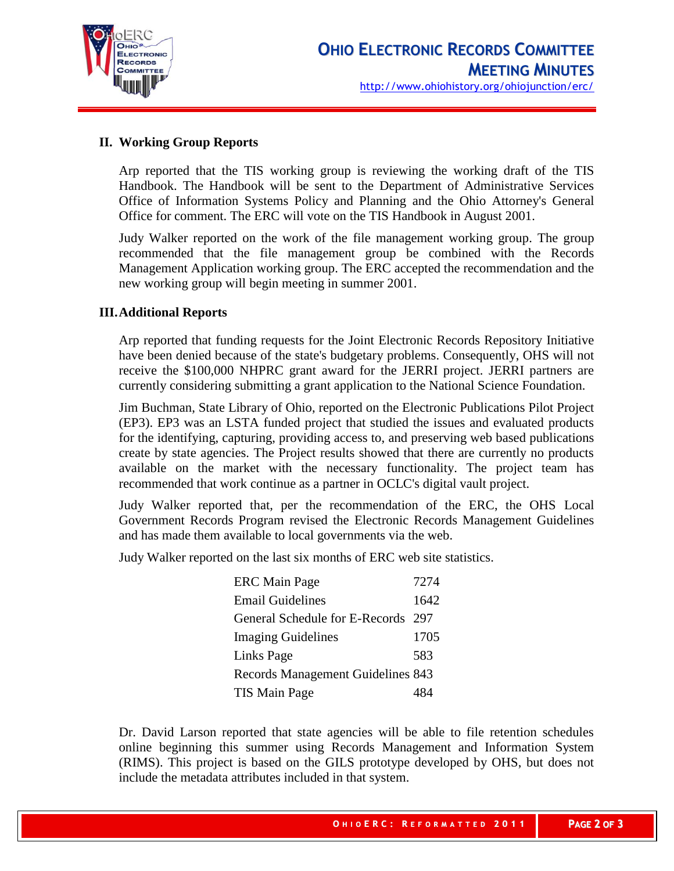

# **II. Working Group Reports**

Arp reported that the TIS working group is reviewing the working draft of the TIS Handbook. The Handbook will be sent to the Department of Administrative Services Office of Information Systems Policy and Planning and the Ohio Attorney's General Office for comment. The ERC will vote on the TIS Handbook in August 2001.

Judy Walker reported on the work of the file management working group. The group recommended that the file management group be combined with the Records Management Application working group. The ERC accepted the recommendation and the new working group will begin meeting in summer 2001.

### **III.Additional Reports**

Arp reported that funding requests for the Joint Electronic Records Repository Initiative have been denied because of the state's budgetary problems. Consequently, OHS will not receive the \$100,000 NHPRC grant award for the JERRI project. JERRI partners are currently considering submitting a grant application to the National Science Foundation.

Jim Buchman, State Library of Ohio, reported on the Electronic Publications Pilot Project (EP3). EP3 was an LSTA funded project that studied the issues and evaluated products for the identifying, capturing, providing access to, and preserving web based publications create by state agencies. The Project results showed that there are currently no products available on the market with the necessary functionality. The project team has recommended that work continue as a partner in OCLC's digital vault project.

Judy Walker reported that, per the recommendation of the ERC, the OHS Local Government Records Program revised the Electronic Records Management Guidelines and has made them available to local governments via the web.

Judy Walker reported on the last six months of ERC web site statistics.

| <b>ERC Main Page</b>               | 7274 |
|------------------------------------|------|
| <b>Email Guidelines</b>            | 1642 |
| General Schedule for E-Records 297 |      |
| <b>Imaging Guidelines</b>          | 1705 |
| Links Page                         | 583  |
| Records Management Guidelines 843  |      |
| TIS Main Page                      |      |

Dr. David Larson reported that state agencies will be able to file retention schedules online beginning this summer using Records Management and Information System (RIMS). This project is based on the GILS prototype developed by OHS, but does not include the metadata attributes included in that system.